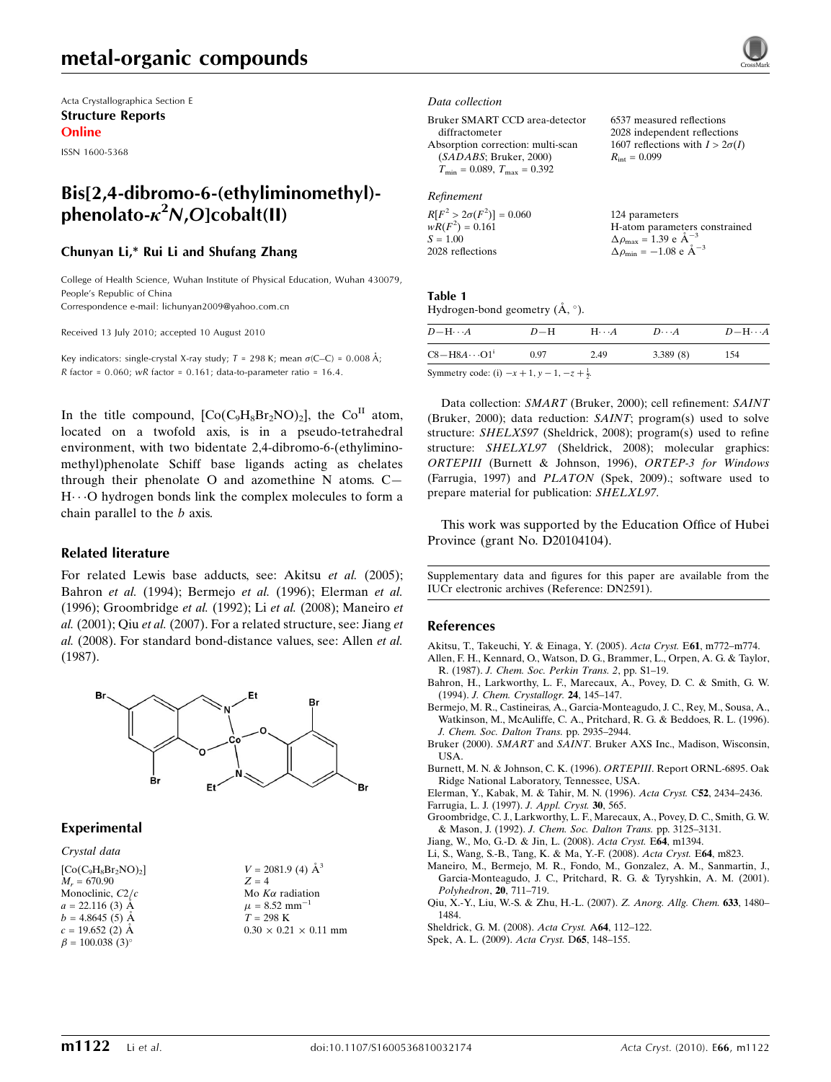Acta Crystallographica Section E Structure Reports Online

ISSN 1600-5368

## Bis[2,4-dibromo-6-(ethyliminomethyl) phenolato- $\kappa^2 N$ ,O]cobalt(II)

## Chunyan Li,\* Rui Li and Shufang Zhang

College of Health Science, Wuhan Institute of Physical Education, Wuhan 430079, People's Republic of China Correspondence e-mail: lichunyan2009@yahoo.com.cn

Received 13 July 2010; accepted 10 August 2010

Key indicators: single-crystal X-ray study;  $T = 298$  K; mean  $\sigma$ (C–C) = 0.008 Å; R factor =  $0.060$ ; wR factor =  $0.161$ ; data-to-parameter ratio =  $16.4$ .

In the title compound,  $[Co(C_9H_8Br_2NO)_2]$ , the  $Co<sup>II</sup>$  atom, located on a twofold axis, is in a pseudo-tetrahedral environment, with two bidentate 2,4-dibromo-6-(ethyliminomethyl)phenolate Schiff base ligands acting as chelates through their phenolate O and azomethine N atoms. C— H---O hydrogen bonds link the complex molecules to form a chain parallel to the b axis.

### Related literature

For related Lewis base adducts, see: Akitsu et al. (2005); Bahron et al. (1994); Bermejo et al. (1996); Elerman et al. (1996); Groombridge et al. (1992); Li et al. (2008); Maneiro et al.  $(2001)$ ; Qiu et al.  $(2007)$ . For a related structure, see: Jiang et al. (2008). For standard bond-distance values, see: Allen et al. (1987).



## Experimental

Crystal data  $[Co(C_9H_8Br_2NO)_2]$  $M = 670.90$ Monoclinic,  $C2/c$  $a = 22.116(3)$  Å  $b = 4.8645(5)$  Å  $c = 19.652$  (2) Å  $\beta = 100.038$  (3)<sup>o</sup>

 $V = 2081.9$  (4)  $\AA^3$  $Z = 4$ Mo  $K\alpha$  radiation  $\mu = 8.52$  mm<sup>-1</sup>  $T = 298 \text{ K}$  $0.30\,\times\,0.21\,\times\,0.11$  mm

#### Data collection

| Bruker SMART CCD area-detector                   | 6537 measured reflections              |
|--------------------------------------------------|----------------------------------------|
| diffractometer                                   | 2028 independent reflections           |
| Absorption correction: multi-scan                | 1607 reflections with $I > 2\sigma(I)$ |
| (SADABS; Bruker, 2000)                           | $R_{\rm int} = 0.099$                  |
| $T_{\text{min}} = 0.089, T_{\text{max}} = 0.392$ |                                        |
|                                                  |                                        |

## Refinement

| $R[F^2 > 2\sigma(F^2)] = 0.060$ | 124 parameters                                     |
|---------------------------------|----------------------------------------------------|
| $wR(F^2) = 0.161$               | H-atom parameters constrained                      |
| $S = 1.00$                      | $\Delta \rho_{\text{max}} = 1.39 \text{ e A}^{-3}$ |
| 2028 reflections                | $\Delta \rho_{\text{min}} = -1.08$ e $\AA^{-3}$    |

### Table 1

| Hydrogen-bond geometry $(A, \circ)$ . |  |  |
|---------------------------------------|--|--|

| $D - H \cdots A$                                             | $D-H$ | $H\cdots A$ | $D\cdots A$ | $D - H \cdots A$ |
|--------------------------------------------------------------|-------|-------------|-------------|------------------|
| $C8 - H8A \cdots O1^i$                                       | 0.97  | 2.49        | 3.389(8)    | 154              |
| Symmetry code: (i) $-x + 1$ , $y - 1$ , $-z + \frac{1}{2}$ . |       |             |             |                  |

Data collection: SMART (Bruker, 2000); cell refinement: SAINT (Bruker, 2000); data reduction: SAINT; program(s) used to solve structure: SHELXS97 (Sheldrick, 2008); program(s) used to refine structure: SHELXL97 (Sheldrick, 2008); molecular graphics: ORTEPIII (Burnett & Johnson, 1996), ORTEP-3 for Windows (Farrugia, 1997) and PLATON (Spek, 2009).; software used to prepare material for publication: SHELXL97.

This work was supported by the Education Office of Hubei Province (grant No. D20104104).

Supplementary data and figures for this paper are available from the IUCr electronic archives (Reference: DN2591).

#### References

[Akitsu, T., Takeuchi, Y. & Einaga, Y. \(2005\).](https://scripts.iucr.org/cgi-bin/cr.cgi?rm=pdfbb&cnor=dn2591&bbid=BB1) Acta Cryst. E61, m772–m774.

- [Allen, F. H., Kennard, O., Watson, D. G., Brammer, L., Orpen, A. G. & Taylor,](https://scripts.iucr.org/cgi-bin/cr.cgi?rm=pdfbb&cnor=dn2591&bbid=BB2) R. (1987). [J. Chem. Soc. Perkin Trans. 2](https://scripts.iucr.org/cgi-bin/cr.cgi?rm=pdfbb&cnor=dn2591&bbid=BB2), pp. S1–19.
- [Bahron, H., Larkworthy, L. F., Marecaux, A., Povey, D. C. & Smith, G. W.](https://scripts.iucr.org/cgi-bin/cr.cgi?rm=pdfbb&cnor=dn2591&bbid=BB3) (1994). [J. Chem. Crystallogr.](https://scripts.iucr.org/cgi-bin/cr.cgi?rm=pdfbb&cnor=dn2591&bbid=BB3) 24, 145–147.
- [Bermejo, M. R., Castineiras, A., Garcia-Monteagudo, J. C., Rey, M., Sousa, A.,](https://scripts.iucr.org/cgi-bin/cr.cgi?rm=pdfbb&cnor=dn2591&bbid=BB4) [Watkinson, M., McAuliffe, C. A., Pritchard, R. G. & Beddoes, R. L. \(1996\).](https://scripts.iucr.org/cgi-bin/cr.cgi?rm=pdfbb&cnor=dn2591&bbid=BB4) [J. Chem. Soc. Dalton Trans.](https://scripts.iucr.org/cgi-bin/cr.cgi?rm=pdfbb&cnor=dn2591&bbid=BB4) pp. 2935–2944.
- Bruker (2000). SMART and SAINT[. Bruker AXS Inc., Madison, Wisconsin,](https://scripts.iucr.org/cgi-bin/cr.cgi?rm=pdfbb&cnor=dn2591&bbid=BB5) [USA.](https://scripts.iucr.org/cgi-bin/cr.cgi?rm=pdfbb&cnor=dn2591&bbid=BB5)

[Burnett, M. N. & Johnson, C. K. \(1996\).](https://scripts.iucr.org/cgi-bin/cr.cgi?rm=pdfbb&cnor=dn2591&bbid=BB6) ORTEPIII. Report ORNL-6895. Oak [Ridge National Laboratory, Tennessee, USA.](https://scripts.iucr.org/cgi-bin/cr.cgi?rm=pdfbb&cnor=dn2591&bbid=BB6)

[Elerman, Y., Kabak, M. & Tahir, M. N. \(1996\).](https://scripts.iucr.org/cgi-bin/cr.cgi?rm=pdfbb&cnor=dn2591&bbid=BB7) Acta Cryst. C52, 2434–2436.

- [Farrugia, L. J. \(1997\).](https://scripts.iucr.org/cgi-bin/cr.cgi?rm=pdfbb&cnor=dn2591&bbid=BB8) J. Appl. Cryst. 30, 565.
- [Groombridge, C. J., Larkworthy, L. F., Marecaux, A., Povey, D. C., Smith, G. W.](https://scripts.iucr.org/cgi-bin/cr.cgi?rm=pdfbb&cnor=dn2591&bbid=BB9) & Mason, J. (1992). [J. Chem. Soc. Dalton Trans.](https://scripts.iucr.org/cgi-bin/cr.cgi?rm=pdfbb&cnor=dn2591&bbid=BB9) pp. 3125–3131.
- [Jiang, W., Mo, G.-D. & Jin, L. \(2008\).](https://scripts.iucr.org/cgi-bin/cr.cgi?rm=pdfbb&cnor=dn2591&bbid=BB10) Acta Cryst. E64, m1394.
- [Li, S., Wang, S.-B., Tang, K. & Ma, Y.-F. \(2008\).](https://scripts.iucr.org/cgi-bin/cr.cgi?rm=pdfbb&cnor=dn2591&bbid=BB11) Acta Cryst. E64, m823.
- [Maneiro, M., Bermejo, M. R., Fondo, M., Gonzalez, A. M., Sanmartin, J.,](https://scripts.iucr.org/cgi-bin/cr.cgi?rm=pdfbb&cnor=dn2591&bbid=BB12) [Garcia-Monteagudo, J. C., Pritchard, R. G. & Tyryshkin, A. M. \(2001\).](https://scripts.iucr.org/cgi-bin/cr.cgi?rm=pdfbb&cnor=dn2591&bbid=BB12) [Polyhedron](https://scripts.iucr.org/cgi-bin/cr.cgi?rm=pdfbb&cnor=dn2591&bbid=BB12), 20, 711–719.
- [Qiu, X.-Y., Liu, W.-S. & Zhu, H.-L. \(2007\).](https://scripts.iucr.org/cgi-bin/cr.cgi?rm=pdfbb&cnor=dn2591&bbid=BB13) Z. Anorg. Allg. Chem. 633, 1480– [1484.](https://scripts.iucr.org/cgi-bin/cr.cgi?rm=pdfbb&cnor=dn2591&bbid=BB13)
- [Sheldrick, G. M. \(2008\).](https://scripts.iucr.org/cgi-bin/cr.cgi?rm=pdfbb&cnor=dn2591&bbid=BB14) Acta Cryst. A64, 112–122.
- [Spek, A. L. \(2009\).](https://scripts.iucr.org/cgi-bin/cr.cgi?rm=pdfbb&cnor=dn2591&bbid=BB15) Acta Cryst. D65, 148–155.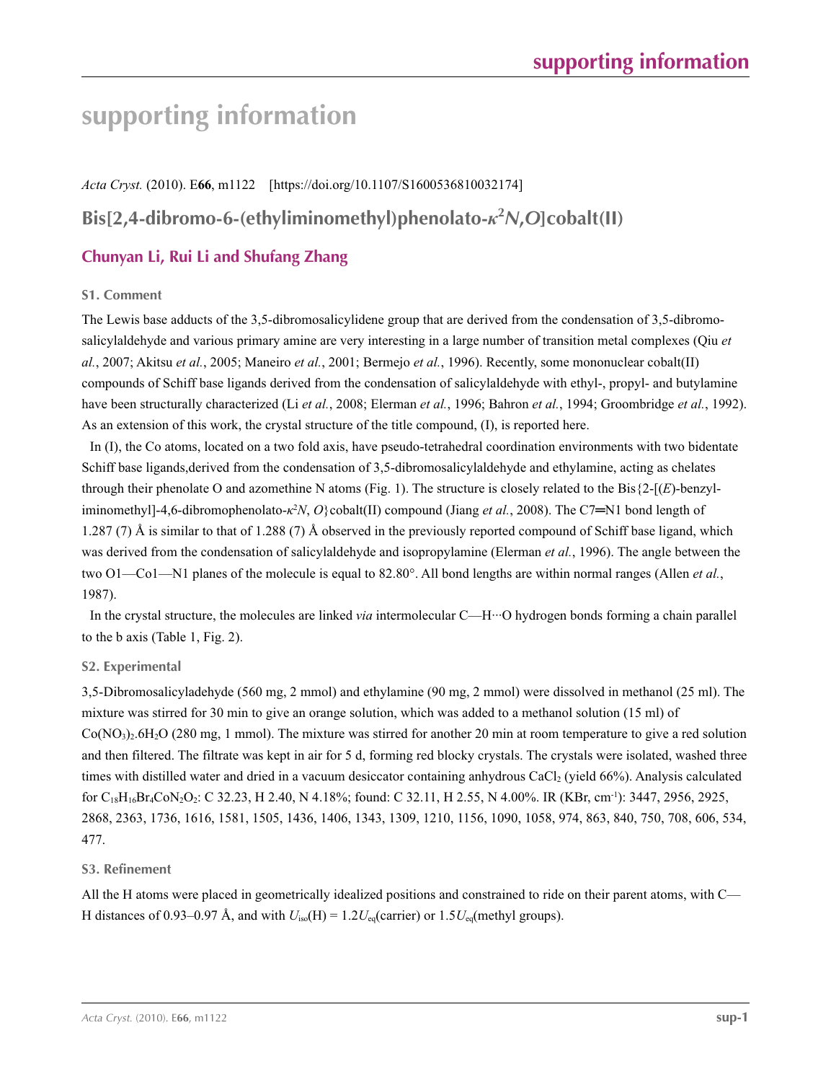# **supporting information**

*Acta Cryst.* (2010). E**66**, m1122 [https://doi.org/10.1107/S1600536810032174]

## **Bis[2,4-dibromo-6-(ethyliminomethyl)phenolato-***κ***<sup>2</sup>** *N***,***O***]cobalt(II)**

## **Chunyan Li, Rui Li and Shufang Zhang**

## **S1. Comment**

The Lewis base adducts of the 3,5-dibromosalicylidene group that are derived from the condensation of 3,5-dibromosalicylaldehyde and various primary amine are very interesting in a large number of transition metal complexes (Qiu *et al.*, 2007; Akitsu *et al.*, 2005; Maneiro *et al.*, 2001; Bermejo *et al.*, 1996). Recently, some mononuclear cobalt(II) compounds of Schiff base ligands derived from the condensation of salicylaldehyde with ethyl-, propyl- and butylamine have been structurally characterized (Li *et al.*, 2008; Elerman *et al.*, 1996; Bahron *et al.*, 1994; Groombridge *et al.*, 1992). As an extension of this work, the crystal structure of the title compound, (I), is reported here.

In (I), the Co atoms, located on a two fold axis, have pseudo-tetrahedral coordination environments with two bidentate Schiff base ligands,derived from the condensation of 3,5-dibromosalicylaldehyde and ethylamine, acting as chelates through their phenolate O and azomethine N atoms (Fig. 1). The structure is closely related to the Bis{2-[(*E*)-benzyliminomethyl]-4,6-dibromophenolato-*κ*<sup>2</sup>*N*, *O*}cobalt(II) compound (Jiang *et al.*, 2008). The C7=N1 bond length of 1.287 (7) Å is similar to that of 1.288 (7) Å observed in the previously reported compound of Schiff base ligand, which was derived from the condensation of salicylaldehyde and isopropylamine (Elerman *et al.*, 1996). The angle between the two O1—Co1—N1 planes of the molecule is equal to 82.80°. All bond lengths are within normal ranges (Allen *et al.*, 1987).

In the crystal structure, the molecules are linked *via* intermolecular C—H···O hydrogen bonds forming a chain parallel to the b axis (Table 1, Fig. 2).

## **S2. Experimental**

3,5-Dibromosalicyladehyde (560 mg, 2 mmol) and ethylamine (90 mg, 2 mmol) were dissolved in methanol (25 ml). The mixture was stirred for 30 min to give an orange solution, which was added to a methanol solution (15 ml) of  $Co(NO<sub>3</sub>)<sub>2</sub>·6H<sub>2</sub>O$  (280 mg, 1 mmol). The mixture was stirred for another 20 min at room temperature to give a red solution and then filtered. The filtrate was kept in air for 5 d, forming red blocky crystals. The crystals were isolated, washed three times with distilled water and dried in a vacuum desiccator containing anhydrous CaCl2 (yield 66%). Analysis calculated for C18H16Br4CoN2O2: C 32.23, H 2.40, N 4.18%; found: C 32.11, H 2.55, N 4.00%. IR (KBr, cm-1): 3447, 2956, 2925, 2868, 2363, 1736, 1616, 1581, 1505, 1436, 1406, 1343, 1309, 1210, 1156, 1090, 1058, 974, 863, 840, 750, 708, 606, 534, 477.

## **S3. Refinement**

All the H atoms were placed in geometrically idealized positions and constrained to ride on their parent atoms, with C— H distances of 0.93–0.97 Å, and with  $U_{\text{iso}}(H) = 1.2U_{\text{eq}}(\text{carrier})$  or  $1.5U_{\text{eq}}(\text{methyl groups})$ .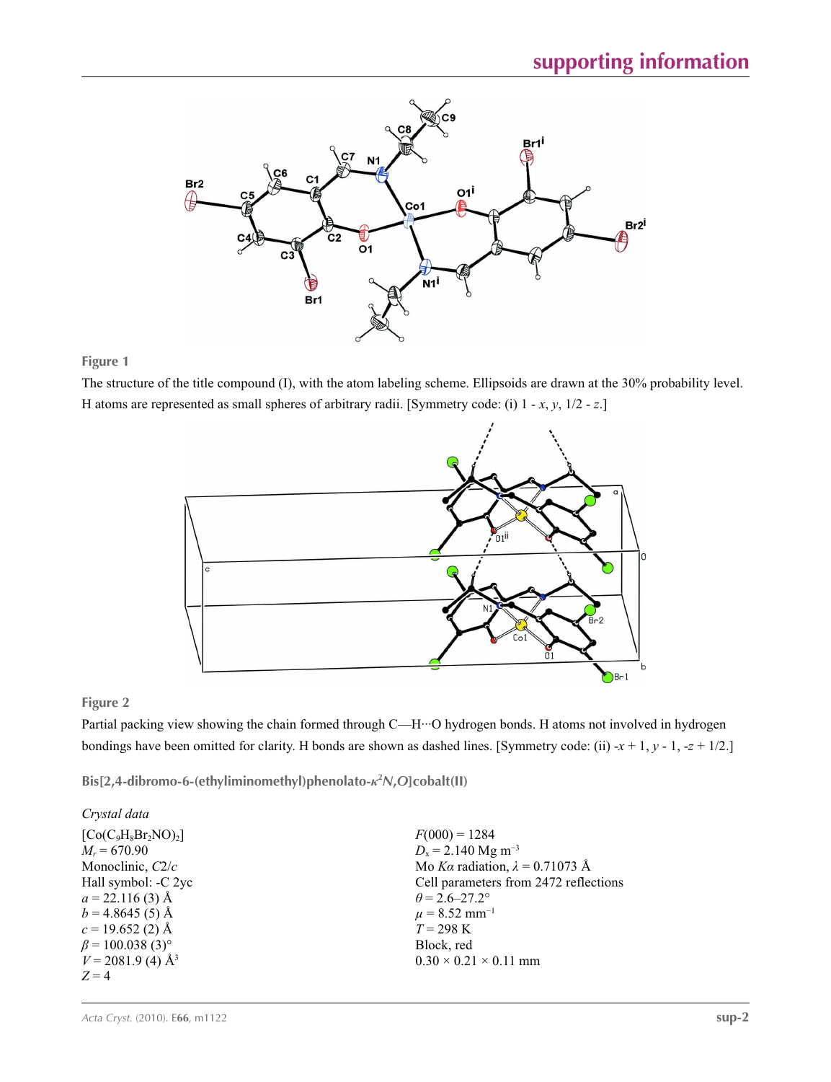

## **Figure 1**

The structure of the title compound (I), with the atom labeling scheme. Ellipsoids are drawn at the 30% probability level. H atoms are represented as small spheres of arbitrary radii. [Symmetry code: (i) 1 - *x*, *y*, 1/2 - *z*.]



## **Figure 2**

Partial packing view showing the chain formed through C—H···O hydrogen bonds. H atoms not involved in hydrogen bondings have been omitted for clarity. H bonds are shown as dashed lines. [Symmetry code: (ii) -*x* + 1, *y* - 1, -*z* + 1/2.]

**Bis[2,4-dibromo-6-(ethyliminomethyl)phenolato-***κ***<sup>2</sup>** *N***,***O***]cobalt(II)** 

| Crystal data                       |                                        |
|------------------------------------|----------------------------------------|
| $[Co(C9H8Br2NO)2]$                 | $F(000) = 1284$                        |
| $M_r = 670.90$                     | $D_x = 2.140$ Mg m <sup>-3</sup>       |
| Monoclinic, C2/c                   | Mo Ka radiation, $\lambda = 0.71073$ Å |
| Hall symbol: -C 2yc                | Cell parameters from 2472 reflections  |
| $a = 22.116(3)$ Å                  | $\theta$ = 2.6–27.2°                   |
| $b = 4.8645(5)$ Å                  | $\mu$ = 8.52 mm <sup>-1</sup>          |
| $c = 19.652(2)$ Å                  | $T = 298 \text{ K}$                    |
| $\beta$ = 100.038 (3) <sup>o</sup> | Block, red                             |
| $V = 2081.9$ (4) $\AA^3$           | $0.30 \times 0.21 \times 0.11$ mm      |
| $Z=4$                              |                                        |
|                                    |                                        |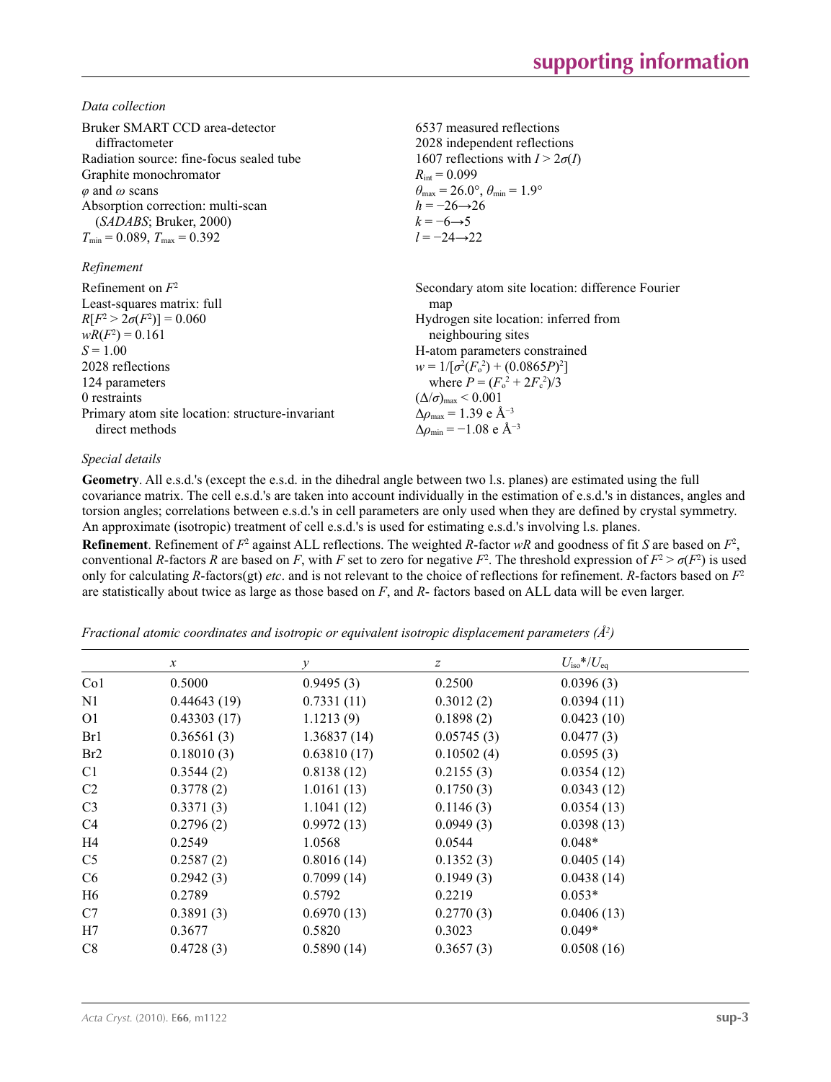*Data collection*

| Bruker SMART CCD area-detector<br>diffractometer<br>Radiation source: fine-focus sealed tube<br>Graphite monochromator<br>$\varphi$ and $\omega$ scans<br>Absorption correction: multi-scan<br>(SADABS; Bruker, 2000)<br>$T_{\min} = 0.089$ , $T_{\max} = 0.392$<br>Refinement | 6537 measured reflections<br>2028 independent reflections<br>1607 reflections with $I > 2\sigma(I)$<br>$R_{\text{int}} = 0.099$<br>$\theta_{\text{max}} = 26.0^{\circ}, \theta_{\text{min}} = 1.9^{\circ}$<br>$h = -26 \rightarrow 26$<br>$k = -6 \rightarrow 5$<br>$l = -24 \rightarrow 22$ |
|--------------------------------------------------------------------------------------------------------------------------------------------------------------------------------------------------------------------------------------------------------------------------------|----------------------------------------------------------------------------------------------------------------------------------------------------------------------------------------------------------------------------------------------------------------------------------------------|
| Refinement on $F^2$                                                                                                                                                                                                                                                            | Secondary atom site location: difference Fourier                                                                                                                                                                                                                                             |
| Least-squares matrix: full                                                                                                                                                                                                                                                     | map                                                                                                                                                                                                                                                                                          |
| $R[F^2 > 2\sigma(F^2)] = 0.060$                                                                                                                                                                                                                                                | Hydrogen site location: inferred from                                                                                                                                                                                                                                                        |
| $wR(F^2) = 0.161$                                                                                                                                                                                                                                                              | neighbouring sites                                                                                                                                                                                                                                                                           |
| $S = 1.00$                                                                                                                                                                                                                                                                     | H-atom parameters constrained                                                                                                                                                                                                                                                                |
| 2028 reflections                                                                                                                                                                                                                                                               | $w = 1/[\sigma^2(F_0^2) + (0.0865P)^2]$                                                                                                                                                                                                                                                      |
| 124 parameters                                                                                                                                                                                                                                                                 | where $P = (F_0^2 + 2F_c^2)/3$                                                                                                                                                                                                                                                               |
| 0 restraints                                                                                                                                                                                                                                                                   | $(\Delta/\sigma)_{\text{max}}$ < 0.001                                                                                                                                                                                                                                                       |
| Primary atom site location: structure-invariant                                                                                                                                                                                                                                | $\Delta\rho_{\text{max}} = 1.39$ e Å <sup>-3</sup>                                                                                                                                                                                                                                           |
| direct methods                                                                                                                                                                                                                                                                 | $\Delta \rho_{\rm min} = -1.08$ e Å <sup>-3</sup>                                                                                                                                                                                                                                            |

## *Special details*

**Geometry**. All e.s.d.'s (except the e.s.d. in the dihedral angle between two l.s. planes) are estimated using the full covariance matrix. The cell e.s.d.'s are taken into account individually in the estimation of e.s.d.'s in distances, angles and torsion angles; correlations between e.s.d.'s in cell parameters are only used when they are defined by crystal symmetry. An approximate (isotropic) treatment of cell e.s.d.'s is used for estimating e.s.d.'s involving l.s. planes.

**Refinement**. Refinement of  $F^2$  against ALL reflections. The weighted *R*-factor  $wR$  and goodness of fit *S* are based on  $F^2$ , conventional *R*-factors *R* are based on *F*, with *F* set to zero for negative  $F^2$ . The threshold expression of  $F^2 > \sigma(F^2)$  is used only for calculating *R*-factors(gt) *etc*. and is not relevant to the choice of reflections for refinement. *R*-factors based on *F*<sup>2</sup> are statistically about twice as large as those based on *F*, and *R*- factors based on ALL data will be even larger.

*Fractional atomic coordinates and isotropic or equivalent isotropic displacement parameters (Å<sup>2</sup>)* 

|             |                                              |                                          | $U_{\rm iso}*/U_{\rm eq}$ |
|-------------|----------------------------------------------|------------------------------------------|---------------------------|
|             |                                              |                                          |                           |
|             |                                              |                                          | 0.0396(3)                 |
|             |                                              |                                          | 0.0394(11)                |
| 0.43303(17) | 1.1213(9)                                    | 0.1898(2)                                | 0.0423(10)                |
| 0.36561(3)  | 1.36837(14)                                  | 0.05745(3)                               | 0.0477(3)                 |
| 0.18010(3)  | 0.63810(17)                                  | 0.10502(4)                               | 0.0595(3)                 |
| 0.3544(2)   | 0.8138(12)                                   | 0.2155(3)                                | 0.0354(12)                |
| 0.3778(2)   | 1.0161(13)                                   | 0.1750(3)                                | 0.0343(12)                |
| 0.3371(3)   | 1.1041(12)                                   | 0.1146(3)                                | 0.0354(13)                |
| 0.2796(2)   | 0.9972(13)                                   | 0.0949(3)                                | 0.0398(13)                |
| 0.2549      | 1.0568                                       | 0.0544                                   | $0.048*$                  |
| 0.2587(2)   | 0.8016(14)                                   | 0.1352(3)                                | 0.0405(14)                |
| 0.2942(3)   | 0.7099(14)                                   | 0.1949(3)                                | 0.0438(14)                |
| 0.2789      | 0.5792                                       | 0.2219                                   | $0.053*$                  |
| 0.3891(3)   | 0.6970(13)                                   | 0.2770(3)                                | 0.0406(13)                |
| 0.3677      | 0.5820                                       | 0.3023                                   | $0.049*$                  |
| 0.4728(3)   | 0.5890(14)                                   | 0.3657(3)                                | 0.0508(16)                |
|             | $\boldsymbol{\chi}$<br>0.5000<br>0.44643(19) | $\mathcal{Y}$<br>0.9495(3)<br>0.7331(11) | z<br>0.2500<br>0.3012(2)  |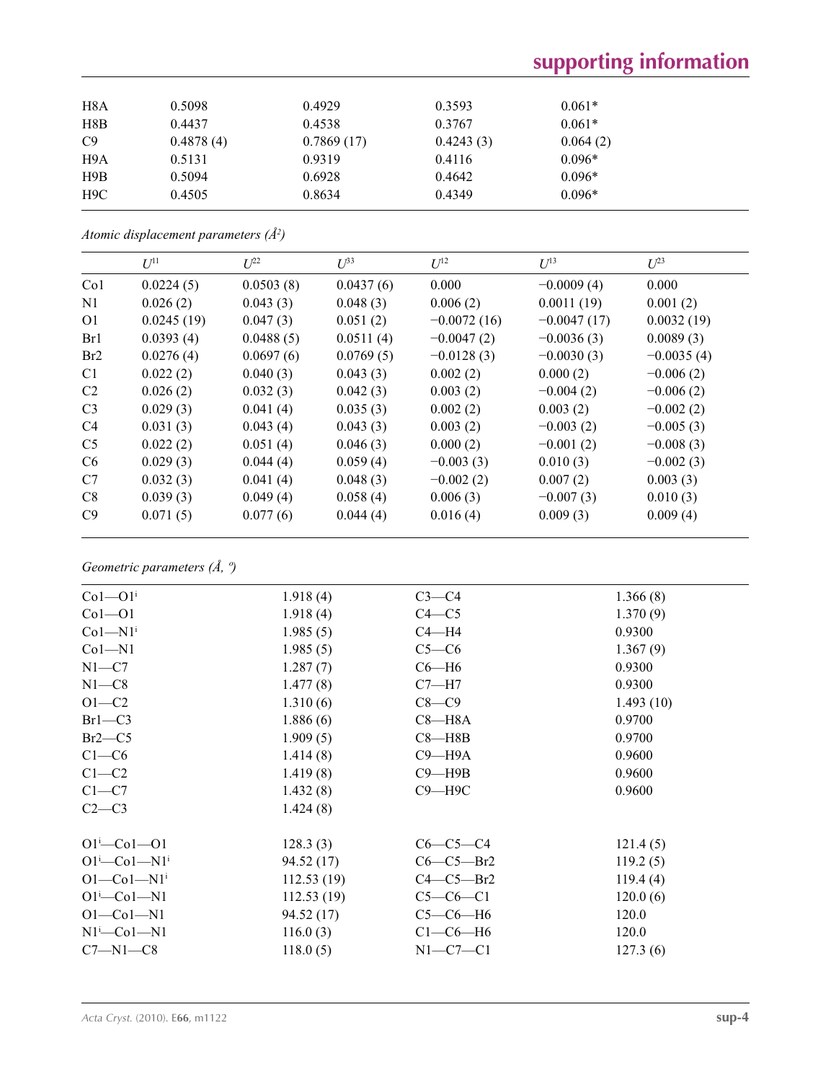# **supporting information**

| H8A | 0.5098    | 0.4929     | 0.3593    | $0.061*$ |  |
|-----|-----------|------------|-----------|----------|--|
| H8B | 0.4437    | 0.4538     | 0.3767    | $0.061*$ |  |
| C9  | 0.4878(4) | 0.7869(17) | 0.4243(3) | 0.064(2) |  |
| H9A | 0.5131    | 0.9319     | 0.4116    | $0.096*$ |  |
| H9B | 0.5094    | 0.6928     | 0.4642    | $0.096*$ |  |
| H9C | 0.4505    | 0.8634     | 0.4349    | $0.096*$ |  |
|     |           |            |           |          |  |

*Atomic displacement parameters (Å2 )*

|                 | $U^{11}$   | $L^{22}$  | $\mathcal{L}^{\beta 3}$ | $U^{12}$      | $U^{13}$      | $U^{23}$     |
|-----------------|------------|-----------|-------------------------|---------------|---------------|--------------|
| Co <sub>1</sub> | 0.0224(5)  | 0.0503(8) | 0.0437(6)               | 0.000         | $-0.0009(4)$  | 0.000        |
| N1              | 0.026(2)   | 0.043(3)  | 0.048(3)                | 0.006(2)      | 0.0011(19)    | 0.001(2)     |
| O <sub>1</sub>  | 0.0245(19) | 0.047(3)  | 0.051(2)                | $-0.0072(16)$ | $-0.0047(17)$ | 0.0032(19)   |
| Br1             | 0.0393(4)  | 0.0488(5) | 0.0511(4)               | $-0.0047(2)$  | $-0.0036(3)$  | 0.0089(3)    |
| Br <sub>2</sub> | 0.0276(4)  | 0.0697(6) | 0.0769(5)               | $-0.0128(3)$  | $-0.0030(3)$  | $-0.0035(4)$ |
| C <sub>1</sub>  | 0.022(2)   | 0.040(3)  | 0.043(3)                | 0.002(2)      | 0.000(2)      | $-0.006(2)$  |
| C <sub>2</sub>  | 0.026(2)   | 0.032(3)  | 0.042(3)                | 0.003(2)      | $-0.004(2)$   | $-0.006(2)$  |
| C <sub>3</sub>  | 0.029(3)   | 0.041(4)  | 0.035(3)                | 0.002(2)      | 0.003(2)      | $-0.002(2)$  |
| C <sub>4</sub>  | 0.031(3)   | 0.043(4)  | 0.043(3)                | 0.003(2)      | $-0.003(2)$   | $-0.005(3)$  |
| C <sub>5</sub>  | 0.022(2)   | 0.051(4)  | 0.046(3)                | 0.000(2)      | $-0.001(2)$   | $-0.008(3)$  |
| C <sub>6</sub>  | 0.029(3)   | 0.044(4)  | 0.059(4)                | $-0.003(3)$   | 0.010(3)      | $-0.002(3)$  |
| C7              | 0.032(3)   | 0.041(4)  | 0.048(3)                | $-0.002(2)$   | 0.007(2)      | 0.003(3)     |
| C8              | 0.039(3)   | 0.049(4)  | 0.058(4)                | 0.006(3)      | $-0.007(3)$   | 0.010(3)     |
| C9              | 0.071(5)   | 0.077(6)  | 0.044(4)                | 0.016(4)      | 0.009(3)      | 0.009(4)     |

*Geometric parameters (Å, º)*

| $Co1-O1i$               | 1.918(4)   | $C3-C4$     | 1.366(8)  |
|-------------------------|------------|-------------|-----------|
| $Co1 - O1$              | 1.918(4)   | $C4 - C5$   | 1.370(9)  |
| $Co1-M1$ <sup>i</sup>   | 1.985(5)   | $C4 - H4$   | 0.9300    |
| $Co1-M1$                | 1.985(5)   | $C5-C6$     | 1.367(9)  |
| $N1 - C7$               | 1.287(7)   | $C6 - H6$   | 0.9300    |
| $N1 - C8$               | 1.477(8)   | $C7 - H7$   | 0.9300    |
| $O1 - C2$               | 1.310(6)   | $C8-C9$     | 1.493(10) |
| $Br1-C3$                | 1.886(6)   | $C8 - H8A$  | 0.9700    |
| $Br2-C5$                | 1.909(5)   | $C8 - H8B$  | 0.9700    |
| $C1-C6$                 | 1.414(8)   | $C9 - H9A$  | 0.9600    |
| $C1-C2$                 | 1.419(8)   | $C9 - H9B$  | 0.9600    |
| $C1-C7$                 | 1.432(8)   | $C9 - H9C$  | 0.9600    |
| $C2-C3$                 | 1.424(8)   |             |           |
| $O1^{i}$ - $Co1$ - $O1$ | 128.3(3)   | $C6-C5-C4$  | 121.4(5)  |
| $O1^i$ —Co $1$ —N $1^i$ | 94.52(17)  | $C6-C5-Br2$ | 119.2(5)  |
| $O1-Co1-N1i$            | 112.53(19) | $C4-C5-Br2$ | 119.4(4)  |
| $O1^i$ -Co $1$ -N1      | 112.53(19) | $C5-C6-C1$  | 120.0(6)  |
| $O1-Co1-N1$             | 94.52 (17) | $C5-C6-H6$  | 120.0     |
| $N1^i$ -Co $1$ -N $1$   | 116.0(3)   | $C1-C6-H6$  | 120.0     |
| $C7 - N1 - C8$          | 118.0(5)   | $N1-C7-C1$  | 127.3(6)  |